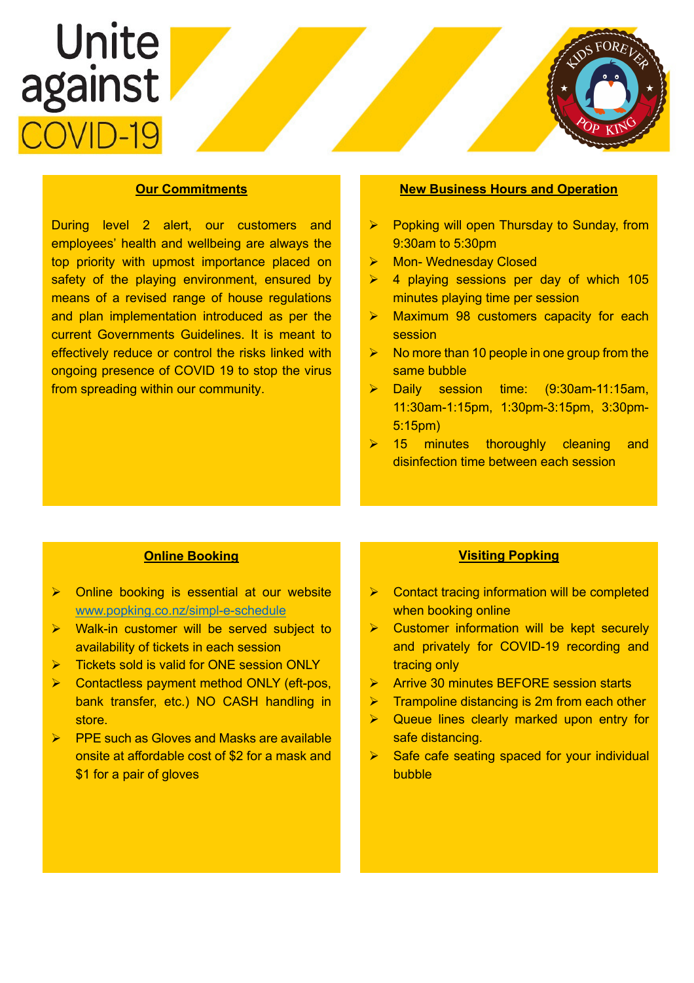# Unite<br>against CVID-1



During level 2 alert, our customers and employees' health and wellbeing are always the top priority with upmost importance placed on safety of the playing environment, ensured by means of a revised range of house regulations and plan implementation introduced as per the current Governments Guidelines. It is meant to effectively reduce or control the risks linked with ongoing presence of COVID 19 to stop the virus from spreading within our community.

# **New Business Hours and Operation**

- $\triangleright$  Popking will open Thursday to Sunday, from 9:30am to 5:30pm
- ▶ Mon- Wednesday Closed
- $\triangleright$  4 playing sessions per day of which 105 minutes playing time per session
- $\triangleright$  Maximum 98 customers capacity for each session
- No more than 10 people in one group from the same bubble
- Daily session time: (9:30am-11:15am, 11:30am-1:15pm, 1:30pm-3:15pm, 3:30pm-5:15pm)
- 15 minutes thoroughly cleaning and disinfection time between each session

# **Online Booking**

- $\triangleright$  Online booking is essential at our website www.popking.co.nz/simpl-e-schedule
- $\triangleright$  Walk-in customer will be served subject to availability of tickets in each session
- $\triangleright$  Tickets sold is valid for ONE session ONLY
- $\triangleright$  Contactless payment method ONLY (eft-pos, bank transfer, etc.) NO CASH handling in store.
- Ø PPE such as Gloves and Masks are available onsite at affordable cost of \$2 for a mask and \$1 for a pair of gloves

### **Visiting Popking**

- $\triangleright$  Contact tracing information will be completed when booking online
- $\triangleright$  Customer information will be kept securely and privately for COVID-19 recording and tracing only
- Ø Arrive 30 minutes BEFORE session starts
- $\triangleright$  Trampoline distancing is 2m from each other
- $\triangleright$  Queue lines clearly marked upon entry for safe distancing.
- Safe cafe seating spaced for your individual bubble